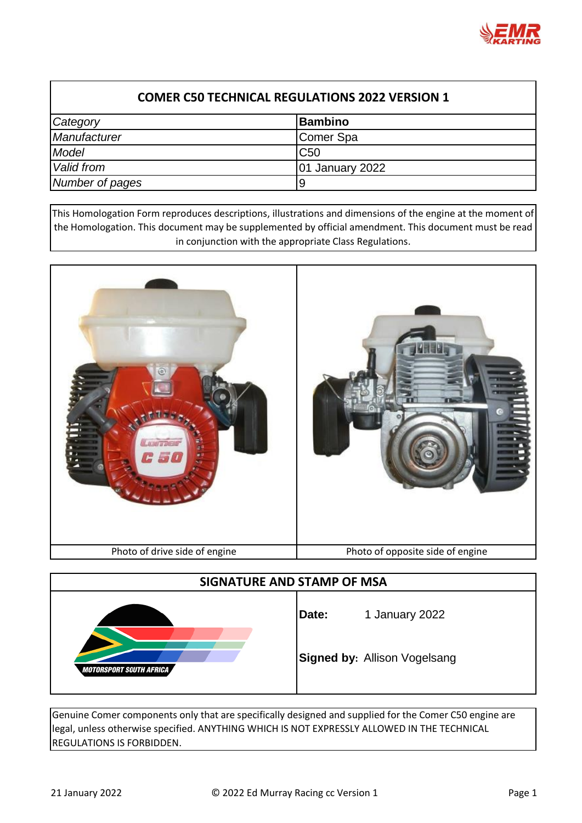

| Category        | <b>Bambino</b>         |
|-----------------|------------------------|
| Manufacturer    | <b>IComer Spa</b>      |
| Model           | C <sub>50</sub>        |
| Valid from      | <b>01 January 2022</b> |
| Number of pages | g                      |

This Homologation Form reproduces descriptions, illustrations and dimensions of the engine at the moment of the Homologation. This document may be supplemented by official amendment. This document must be read in conjunction with the appropriate Class Regulations.



| SIGNATURE AND STAMP OF MSA     |       |                                     |  |
|--------------------------------|-------|-------------------------------------|--|
| <b>MOTORSPORT SOUTH AFRICA</b> | Date: | 1 January 2022                      |  |
|                                |       | <b>Signed by: Allison Vogelsang</b> |  |

Genuine Comer components only that are specifically designed and supplied for the Comer C50 engine are legal, unless otherwise specified. ANYTHING WHICH IS NOT EXPRESSLY ALLOWED IN THE TECHNICAL REGULATIONS IS FORBIDDEN.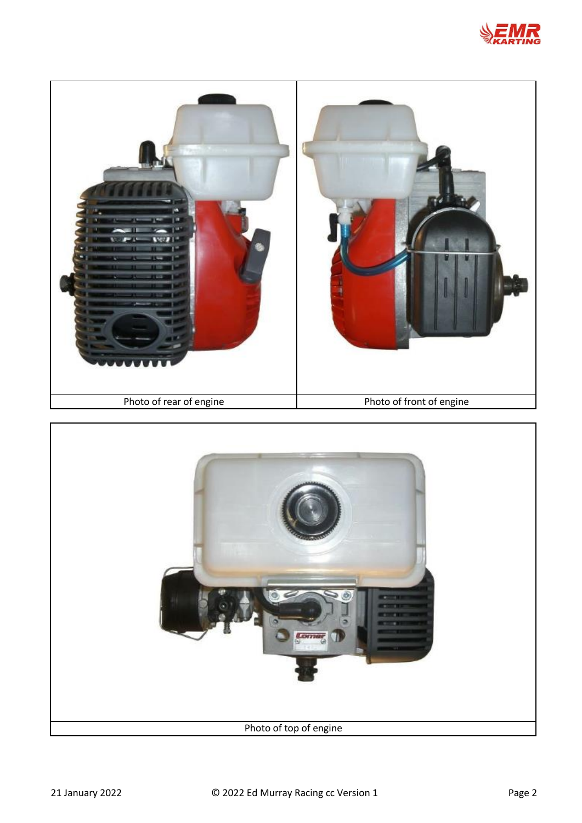



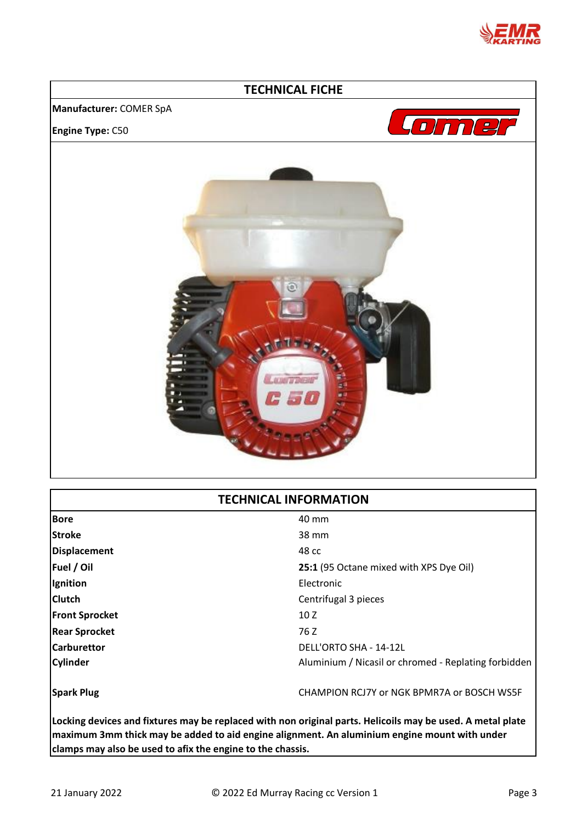

## **TECHNICAL FICHE Manufacturer:** COMER SpA Lome **Engine Type:** C50 **CAR ALANG**

## **TECHNICAL INFORMATION**

| <b>Bore</b>           | 40 mm                                                |
|-----------------------|------------------------------------------------------|
| <b>Stroke</b>         | 38 mm                                                |
| Displacement          | 48 cc                                                |
| Fuel / Oil            | 25:1 (95 Octane mixed with XPS Dye Oil)              |
| Ignition              | Electronic                                           |
| <b>Clutch</b>         | Centrifugal 3 pieces                                 |
| <b>Front Sprocket</b> | 10Z                                                  |
| <b>Rear Sprocket</b>  | 76 Z                                                 |
| <b>Carburettor</b>    | DELL'ORTO SHA - 14-12L                               |
| <b>Cylinder</b>       | Aluminium / Nicasil or chromed - Replating forbidden |
| <b>Spark Plug</b>     | CHAMPION RCJ7Y or NGK BPMR7A or BOSCH WS5F           |

**Locking devices and fixtures may be replaced with non original parts. Helicoils may be used. A metal plate maximum 3mm thick may be added to aid engine alignment. An aluminium engine mount with under clamps may also be used to afix the engine to the chassis.**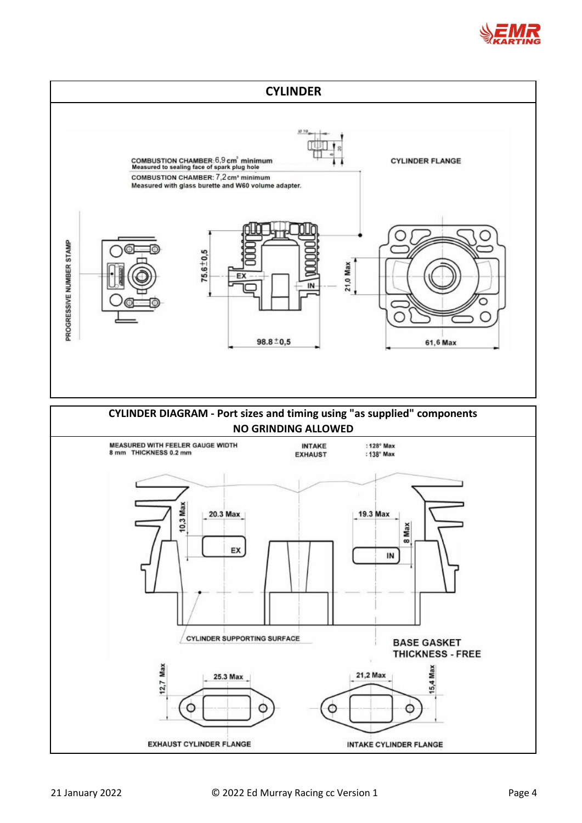

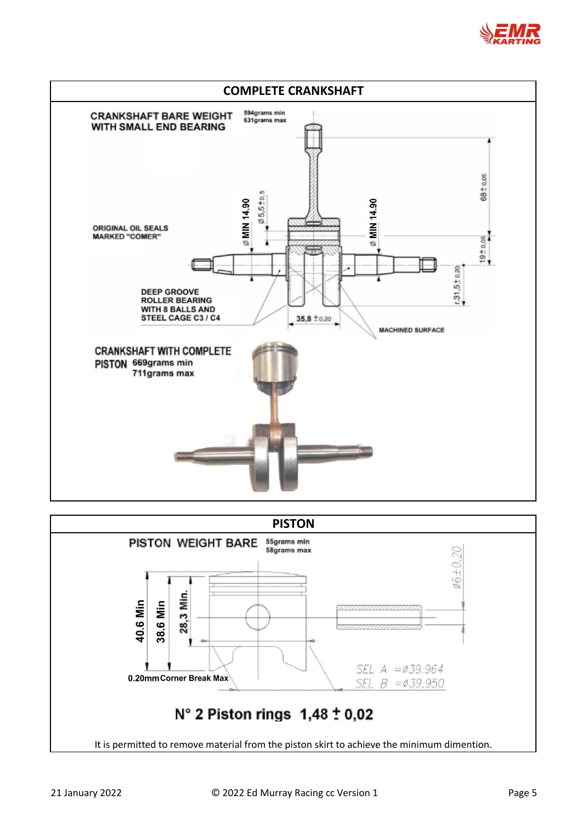



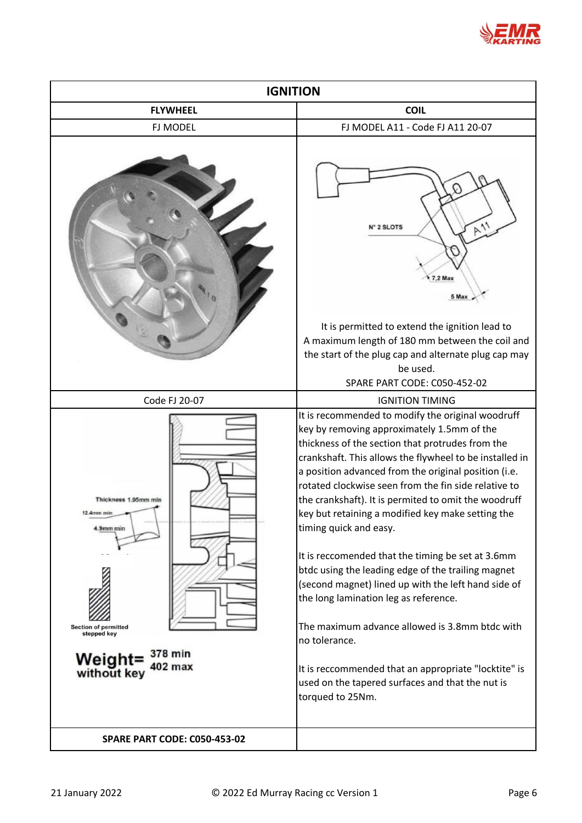

| <b>IGNITION</b>                                                                                                                               |                                                                                                                                                                                                                                                                                                                                                                                                                                                                                                                                                                                                                                                                                                                                                                                                                                                                                     |  |
|-----------------------------------------------------------------------------------------------------------------------------------------------|-------------------------------------------------------------------------------------------------------------------------------------------------------------------------------------------------------------------------------------------------------------------------------------------------------------------------------------------------------------------------------------------------------------------------------------------------------------------------------------------------------------------------------------------------------------------------------------------------------------------------------------------------------------------------------------------------------------------------------------------------------------------------------------------------------------------------------------------------------------------------------------|--|
| <b>FLYWHEEL</b>                                                                                                                               | <b>COIL</b>                                                                                                                                                                                                                                                                                                                                                                                                                                                                                                                                                                                                                                                                                                                                                                                                                                                                         |  |
| <b>FJ MODEL</b>                                                                                                                               | FJ MODEL A11 - Code FJ A11 20-07                                                                                                                                                                                                                                                                                                                                                                                                                                                                                                                                                                                                                                                                                                                                                                                                                                                    |  |
|                                                                                                                                               | $P_{11}$<br><b>I° 2 SLOTS</b><br>$7.2$ Max<br>5 Max<br>It is permitted to extend the ignition lead to<br>A maximum length of 180 mm between the coil and<br>the start of the plug cap and alternate plug cap may                                                                                                                                                                                                                                                                                                                                                                                                                                                                                                                                                                                                                                                                    |  |
|                                                                                                                                               | be used.                                                                                                                                                                                                                                                                                                                                                                                                                                                                                                                                                                                                                                                                                                                                                                                                                                                                            |  |
|                                                                                                                                               | SPARE PART CODE: C050-452-02                                                                                                                                                                                                                                                                                                                                                                                                                                                                                                                                                                                                                                                                                                                                                                                                                                                        |  |
| Code FJ 20-07                                                                                                                                 | <b>IGNITION TIMING</b>                                                                                                                                                                                                                                                                                                                                                                                                                                                                                                                                                                                                                                                                                                                                                                                                                                                              |  |
| Thickness 1.95mm min<br>12.4mm min<br>4.9mm min<br><b>Section of permitted</b><br>stepped key<br>378 min<br>Weight=<br>402 max<br>without key | It is recommended to modify the original woodruff<br>key by removing approximately 1.5mm of the<br>thickness of the section that protrudes from the<br>crankshaft. This allows the flywheel to be installed in<br>a position advanced from the original position (i.e.<br>rotated clockwise seen from the fin side relative to<br>the crankshaft). It is permited to omit the woodruff<br>key but retaining a modified key make setting the<br>timing quick and easy.<br>It is reccomended that the timing be set at 3.6mm<br>btdc using the leading edge of the trailing magnet<br>(second magnet) lined up with the left hand side of<br>the long lamination leg as reference.<br>The maximum advance allowed is 3.8mm btdc with<br>no tolerance.<br>It is reccommended that an appropriate "locktite" is<br>used on the tapered surfaces and that the nut is<br>torqued to 25Nm. |  |
| <b>SPARE PART CODE: C050-453-02</b>                                                                                                           |                                                                                                                                                                                                                                                                                                                                                                                                                                                                                                                                                                                                                                                                                                                                                                                                                                                                                     |  |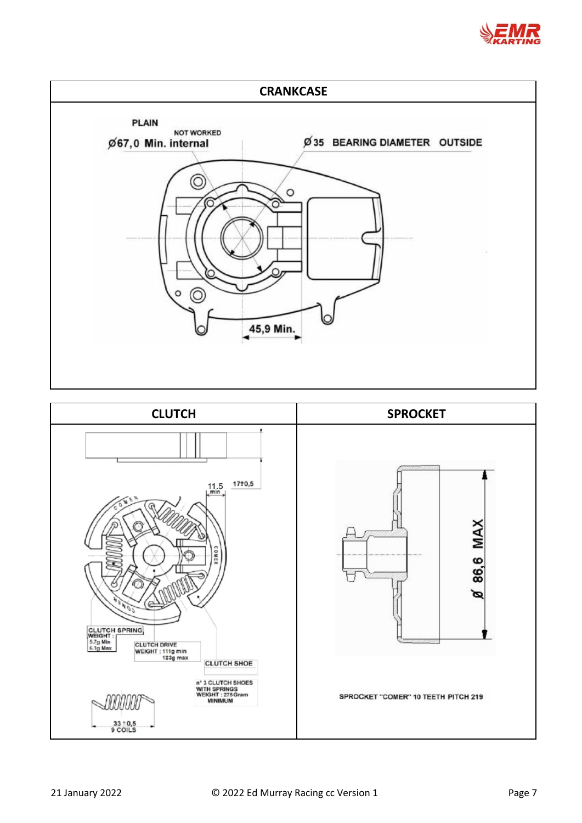



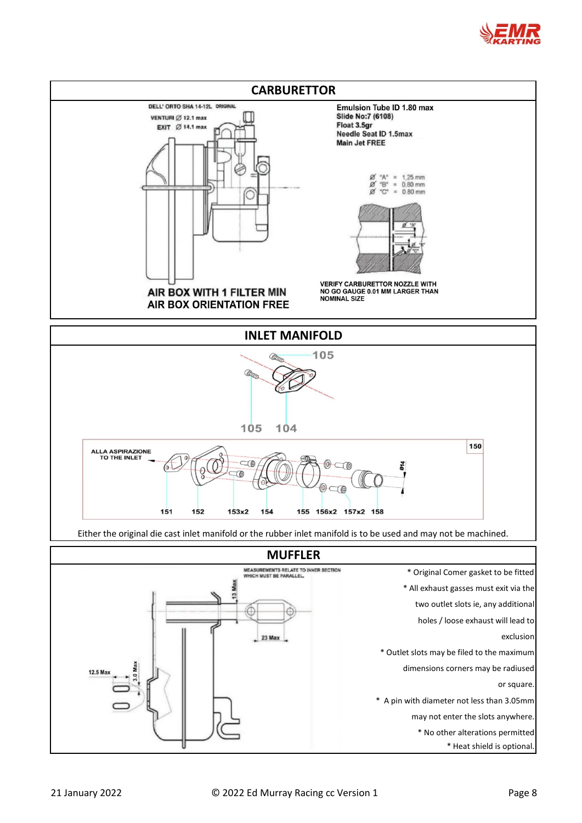